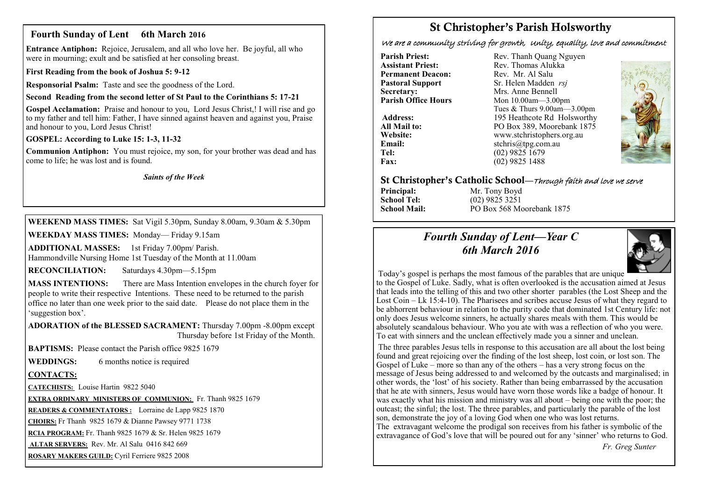### **Fourth Sunday of Lent 6th March 2016**

**Entrance Antiphon:** Rejoice, Jerusalem, and all who love her. Be joyful, all who were in mourning; exult and be satisfied at her consoling breast.

**First Reading from the book of Joshua 5: 9-12**

**Responsorial Psalm:** Taste and see the goodness of the Lord.

### **Second Reading from the second letter of St Paul to the Corinthians 5: 17-21**

**Gospel Acclamation:** Praise and honour to you, Lord Jesus Christ,! I will rise and go to my father and tell him: Father, I have sinned against heaven and against you, Praise and honour to you, Lord Jesus Christ!

**GOSPEL: According to Luke 15: 1-3, 11-32**

**Communion Antiphon:** You must rejoice, my son, for your brother was dead and has come to life; he was lost and is found.

*Saints of the Week*

**WEEKEND MASS TIMES:** Sat Vigil 5.30pm, Sunday 8.00am, 9.30am & 5.30pm

**WEEKDAY MASS TIMES:** Monday— Friday 9.15am

**ADDITIONAL MASSES:** 1st Friday 7.00pm/ Parish. Hammondville Nursing Home 1st Tuesday of the Month at 11.00am

**RECONCILIATION:** Saturdays 4.30pm—5.15pm

**MASS INTENTIONS:** There are Mass Intention envelopes in the church foyer for people to write their respective Intentions. These need to be returned to the parish office no later than one week prior to the said date. Please do not place them in the 'suggestion box'.

**ADORATION of the BLESSED SACRAMENT:** Thursday 7.00pm -8.00pm except Thursday before 1st Friday of the Month.

**BAPTISMS:** Please contact the Parish office 9825 1679

**WEDDINGS:** 6 months notice is required

### **CONTACTS:**

**CATECHISTS:** Louise Hartin 9822 5040

**EXTRA ORDINARY MINISTERS OF COMMUNION:** Fr. Thanh 9825 1679

**READERS & COMMENTATORS :** Lorraine de Lapp 9825 1870

**CHOIRS:** Fr Thanh 9825 1679 & Dianne Pawsey 9771 1738

**RCIA PROGRAM:** Fr. Thanh 9825 1679 & Sr. Helen 9825 1679

**ALTAR SERVERS:** Rev. Mr. Al Salu 0416 842 669

**ROSARY MAKERS GUILD:** Cyril Ferriere 9825 2008

# **St Christopher's Parish Holsworthy**

We are a community striving for growth, Unity, equality, love and commitment

**Permanent Deacon:**<br>**Pastoral Support Secretary:** Mrs. Anne Bennell<br> **Parish Office Hours** Mon 10.00am - 3.00

**Parish Priest:** Rev. Thanh Quang Nguyen<br> **Assistant Priest:** Rev. Thomas Alukka Rev. Thomas Alukka<br>Rev. Mr. Al Salu **Pastoral Support** Sr. Helen Madden *rsj*<br>
Secretary: Mrs. Anne Bennell **Mon 10.00am—3.00pm** Tues & Thurs 9.00am—3.00pm Address: 195 Heathcote Rd Holsworthy **All Mail to:** PO Box 389, Moorebank 1875 **Website:** www.stchristophers.org.au<br> **Email:** stchris@tng.com au **Email:** stchris@tpg.com.au<br> **Tel:** (02) 9825 1679 **Tel:** (02) 9825 1679<br>**Fax:** (02) 9825 1488 **Fax:** (02) 9825 1488



### **St Christopher's Catholic School—**Through faith and love we serve

**Principal:** Mr. Tony Boyd<br> **School Tel:** (02) 9825 3251

**School Tel:** (02) 9825 3251 **School Mail:** PO Box 568 Moorebank 1875

## *Fourth Sunday of Lent—Year C 6th March 2016*



Today's gospel is perhaps the most famous of the parables that are unique

to the Gospel of Luke. Sadly, what is often overlooked is the accusation aimed at Jesus that leads into the telling of this and two other shorter parables (the Lost Sheep and the Lost Coin – Lk 15:4-10). The Pharisees and scribes accuse Jesus of what they regard to be abhorrent behaviour in relation to the purity code that dominated 1st Century life: not only does Jesus welcome sinners, he actually shares meals with them. This would be absolutely scandalous behaviour. Who you ate with was a reflection of who you were. To eat with sinners and the unclean effectively made you a sinner and unclean.

The three parables Jesus tells in response to this accusation are all about the lost being found and great rejoicing over the finding of the lost sheep, lost coin, or lost son. The Gospel of Luke – more so than any of the others – has a very strong focus on the message of Jesus being addressed to and welcomed by the outcasts and marginalised; in other words, the 'lost' of his society. Rather than being embarrassed by the accusation that he ate with sinners, Jesus would have worn those words like a badge of honour. It was exactly what his mission and ministry was all about – being one with the poor; the outcast; the sinful; the lost. The three parables, and particularly the parable of the lost son, demonstrate the joy of a loving God when one who was lost returns.

The extravagant welcome the prodigal son receives from his father is symbolic of the extravagance of God's love that will be poured out for any 'sinner' who returns to God.

 *Fr. Greg Sunter*